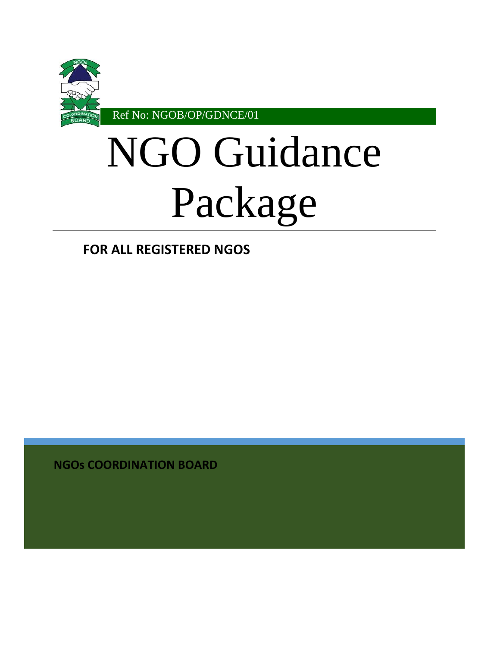

# NGO Guidance Package

**FOR ALL REGISTERED NGOS**

**NGOs COORDINATION BOARD**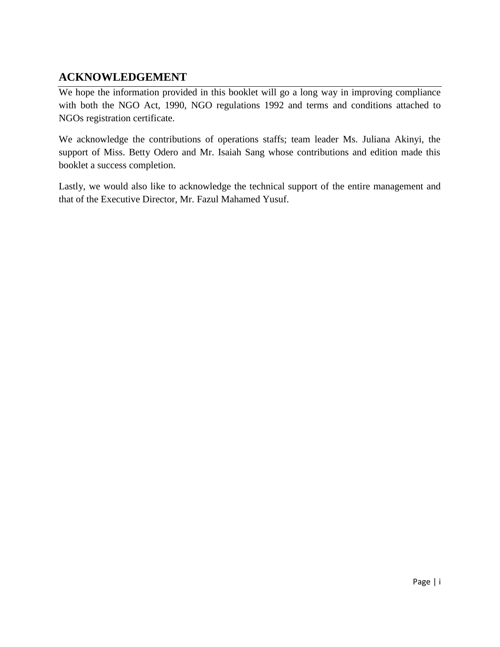# **ACKNOWLEDGEMENT**

We hope the information provided in this booklet will go a long way in improving compliance with both the NGO Act, 1990, NGO regulations 1992 and terms and conditions attached to NGOs registration certificate.

We acknowledge the contributions of operations staffs; team leader Ms. Juliana Akinyi, the support of Miss. Betty Odero and Mr. Isaiah Sang whose contributions and edition made this booklet a success completion.

Lastly, we would also like to acknowledge the technical support of the entire management and that of the Executive Director, Mr. Fazul Mahamed Yusuf.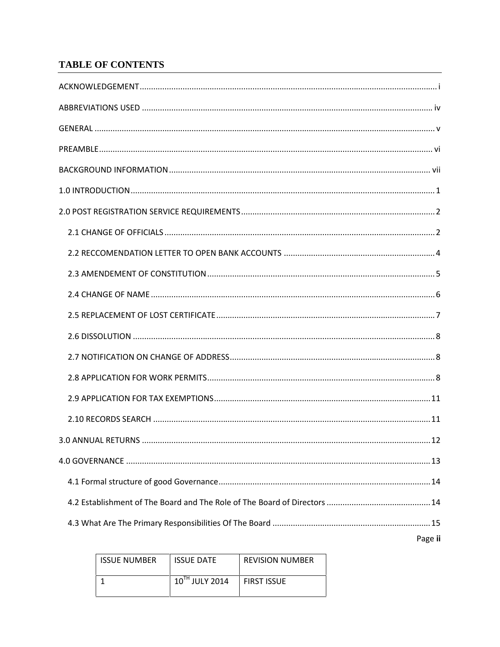# **TABLE OF CONTENTS**

| Page ii |
|---------|

| <b>ISSUE NUMBER</b> | <b>ISSUE DATE</b> | <b>REVISION NUMBER</b> |
|---------------------|-------------------|------------------------|
|                     | 10TH JULY 2014    | <b>FIRST ISSUE</b>     |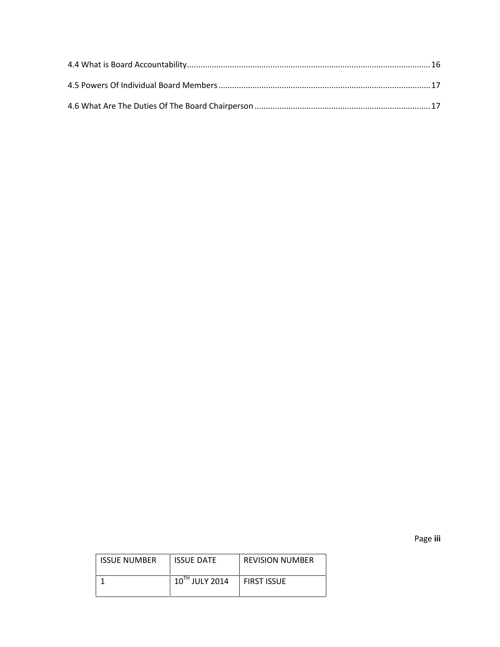Page **iii**

| <b>ISSUE NUMBER</b> | <b>ISSUE DATE</b> | <b>REVISION NUMBER</b> |
|---------------------|-------------------|------------------------|
|                     | 10TH JULY 2014    | <b>FIRST ISSUE</b>     |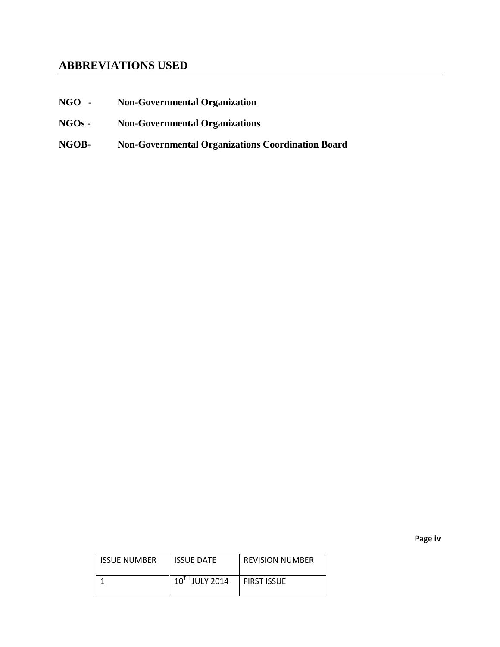# **ABBREVIATIONS USED**

- **NGO - Non-Governmental Organization**
- **NGOs - Non-Governmental Organizations**
- **NGOB- Non-Governmental Organizations Coordination Board**

Page **iv**

| <b>ISSUE NUMBER</b> | <b>ISSUE DATE</b>   | <b>REVISION NUMBER</b> |
|---------------------|---------------------|------------------------|
|                     | $10^{TH}$ JULY 2014 | <b>FIRST ISSUE</b>     |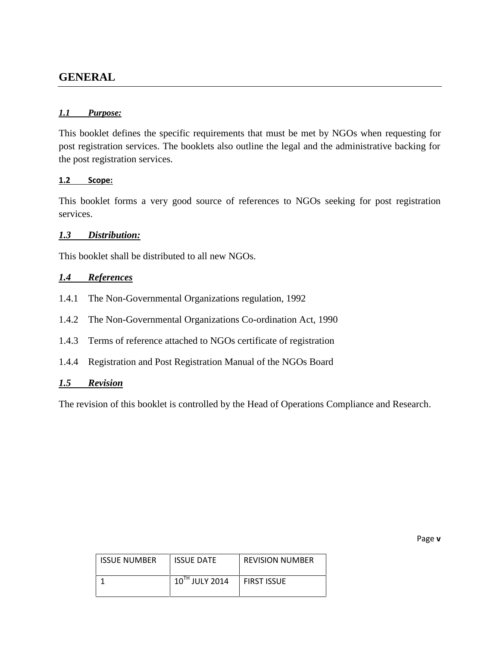# **GENERAL**

#### *1.1 Purpose:*

This booklet defines the specific requirements that must be met by NGOs when requesting for post registration services. The booklets also outline the legal and the administrative backing for the post registration services.

#### **1.2 Scope:**

This booklet forms a very good source of references to NGOs seeking for post registration services.

#### *1.3 Distribution:*

This booklet shall be distributed to all new NGOs.

#### *1.4 References*

- 1.4.1 The Non-Governmental Organizations regulation, 1992
- 1.4.2 The Non-Governmental Organizations Co-ordination Act, 1990
- 1.4.3 Terms of reference attached to NGOs certificate of registration
- 1.4.4 Registration and Post Registration Manual of the NGOs Board

### *1.5 Revision*

The revision of this booklet is controlled by the Head of Operations Compliance and Research.

Page **v**

| <b>ISSUE NUMBER</b> | <b>ISSUE DATE</b>   | <b>REVISION NUMBER</b> |
|---------------------|---------------------|------------------------|
|                     | $10^{TH}$ JULY 2014 | <b>FIRST ISSUE</b>     |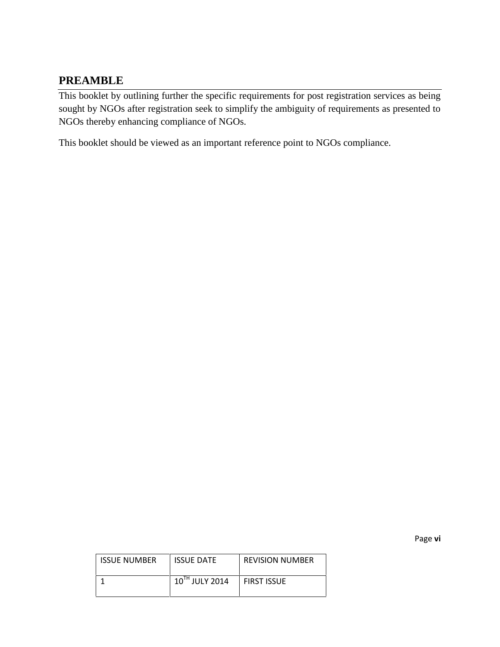# **PREAMBLE**

This booklet by outlining further the specific requirements for post registration services as being sought by NGOs after registration seek to simplify the ambiguity of requirements as presented to NGOs thereby enhancing compliance of NGOs.

This booklet should be viewed as an important reference point to NGOs compliance.

Page **vi**

| <b>ISSUE NUMBER</b> | <b>ISSUE DATE</b> | <b>REVISION NUMBER</b> |
|---------------------|-------------------|------------------------|
|                     | 10TH JULY 2014    | <b>FIRST ISSUE</b>     |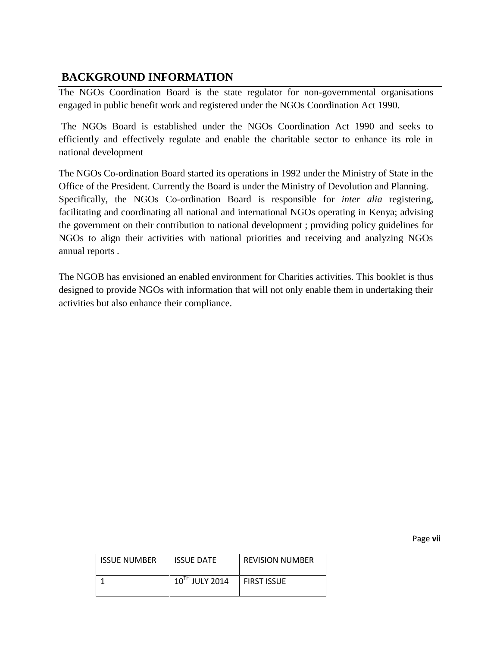# **BACKGROUND INFORMATION**

The NGOs Coordination Board is the state regulator for non-governmental organisations engaged in public benefit work and registered under the NGOs Coordination Act 1990.

The NGOs Board is established under the NGOs Coordination Act 1990 and seeks to efficiently and effectively regulate and enable the charitable sector to enhance its role in national development

The NGOs Co-ordination Board started its operations in 1992 under the Ministry of State in the Office of the President. Currently the Board is under the Ministry of Devolution and Planning. Specifically, the NGOs Co-ordination Board is responsible for *inter alia* registering, facilitating and coordinating all national and international NGOs operating in Kenya; advising the government on their contribution to national development ; providing policy guidelines for NGOs to align their activities with national priorities and receiving and analyzing NGOs annual reports .

The NGOB has envisioned an enabled environment for Charities activities. This booklet is thus designed to provide NGOs with information that will not only enable them in undertaking their activities but also enhance their compliance.

Page **vii**

| <b>ISSUE NUMBER</b> | <b>ISSUE DATE</b> | <b>REVISION NUMBER</b> |
|---------------------|-------------------|------------------------|
|                     | 10TH JULY 2014    | <b>FIRST ISSUE</b>     |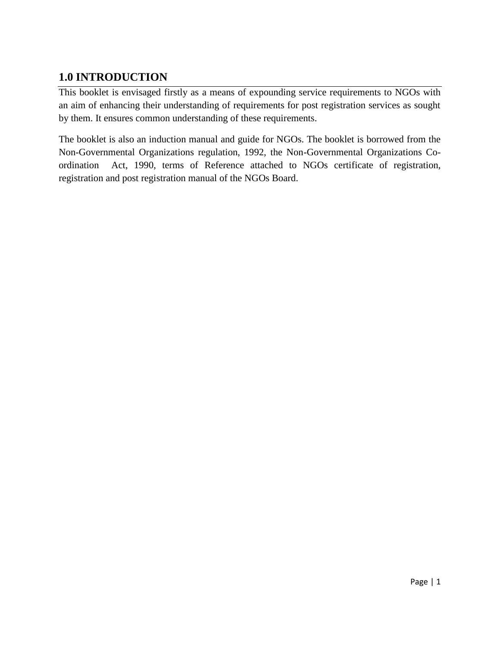# **1.0 INTRODUCTION**

This booklet is envisaged firstly as a means of expounding service requirements to NGOs with an aim of enhancing their understanding of requirements for post registration services as sought by them. It ensures common understanding of these requirements.

The booklet is also an induction manual and guide for NGOs. The booklet is borrowed from the Non-Governmental Organizations regulation, 1992, the Non-Governmental Organizations Co ordination Act, 1990, terms of Reference attached to NGOs certificate of registration, registration and post registration manual of the NGOs Board.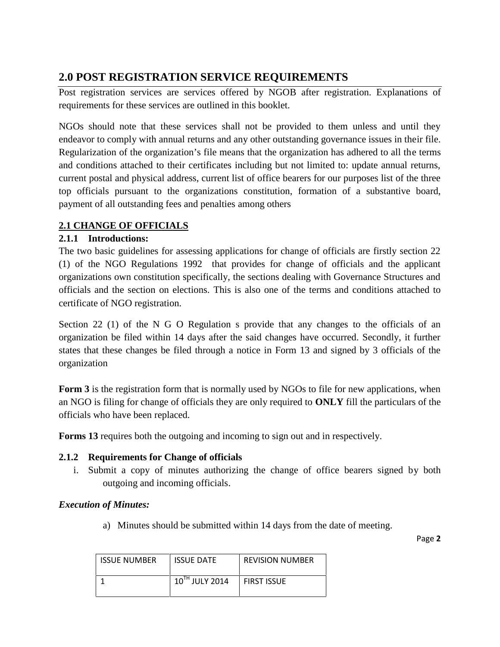# **2.0 POST REGISTRATION SERVICE REQUIREMENTS**

Post registration services are services offered by NGOB after registration. Explanations of requirements for these services are outlined in this booklet.

NGOs should note that these services shall not be provided to them unless and until they endeavor to comply with annual returns and any other outstanding governance issues in their file. Regularization of the organization's file means that the organization has adhered to all the terms and conditions attached to their certificates including but not limited to: update annual returns, current postal and physical address, current list of office bearers for our purposes list of the three top officials pursuant to the organizations constitution, formation of a substantive board, payment of all outstanding fees and penalties among others

# **2.1 CHANGE OF OFFICIALS**

## **2.1.1 Introductions:**

The two basic guidelines for assessing applications for change of officials are firstly section 22 (1) of the NGO Regulations 1992 that provides for change of officials and the applicant organizations own constitution specifically, the sections dealing with Governance Structures and officials and the section on elections. This is also one of the terms and conditions attached to certificate of NGO registration.

Section 22 (1) of the N G O Regulation s provide that any changes to the officials of an organization be filed within 14 days after the said changes have occurred. Secondly, it further states that these changes be filed through a notice in Form 13 and signed by 3 officials of the organization

**Form 3** is the registration form that is normally used by NGOs to file for new applications, when an NGO is filing for change of officials they are only required to **ONLY** fill the particulars of the officials who have been replaced.

**Forms 13** requires both the outgoing and incoming to sign out and in respectively.

#### **2.1.2 Requirements for Change of officials**

i. Submit a copy of minutes authorizing the change of office bearers signed by both outgoing and incoming officials.

#### *Execution of Minutes:*

a) Minutes should be submitted within 14 days from the date of meeting.

| <b>ISSUE NUMBER</b> | <b>ISSUE DATE</b>   | <b>REVISION NUMBER</b> |
|---------------------|---------------------|------------------------|
|                     | $10^{TH}$ JULY 2014 | <b>FIRST ISSUE</b>     |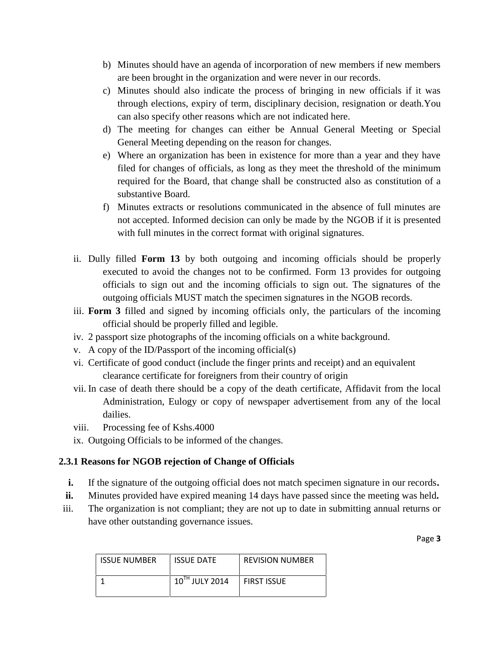- b) Minutes should have an agenda of incorporation of new members if new members are been brought in the organization and were never in our records.
- c) Minutes should also indicate the process of bringing in new officials if it was through elections, expiry of term, disciplinary decision, resignation or death.You can also specify other reasons which are not indicated here.
- d) The meeting for changes can either be Annual General Meeting or Special General Meeting depending on the reason for changes.
- e) Where an organization has been in existence for more than a year and they have filed for changes of officials, as long as they meet the threshold of the minimum required for the Board, that change shall be constructed also as constitution of a substantive Board.
- f) Minutes extracts or resolutions communicated in the absence of full minutes are not accepted. Informed decision can only be made by the NGOB if it is presented with full minutes in the correct format with original signatures.
- ii. Dully filled **Form 13** by both outgoing and incoming officials should be properly executed to avoid the changes not to be confirmed. Form 13 provides for outgoing officials to sign out and the incoming officials to sign out. The signatures of the outgoing officials MUST match the specimen signatures in the NGOB records.
- iii. **Form 3** filled and signed by incoming officials only, the particulars of the incoming official should be properly filled and legible.
- iv. 2 passport size photographs of the incoming officials on a white background.
- v. A copy of the ID/Passport of the incoming official(s)
- vi. Certificate of good conduct (include the finger prints and receipt) and an equivalent clearance certificate for foreigners from their country of origin
- vii. In case of death there should be a copy of the death certificate, Affidavit from the local Administration, Eulogy or copy of newspaper advertisement from any of the local dailies.
- viii. Processing fee of Kshs.4000
- ix. Outgoing Officials to be informed of the changes.

# **2.3.1 Reasons for NGOB rejection of Change of Officials**

- **i.** If the signature of the outgoing official does not match specimen signature in our records**.**
- **ii.** Minutes provided have expired meaning 14 days have passed since the meeting was held**.**
- iii. The organization is not compliant; they are not up to date in submitting annual returns or have other outstanding governance issues.

| <b>ISSUE NUMBER</b> | <b>ISSUE DATE</b> | <b>REVISION NUMBER</b> |
|---------------------|-------------------|------------------------|
|                     | 10TH JULY 2014    | <b>FIRST ISSUE</b>     |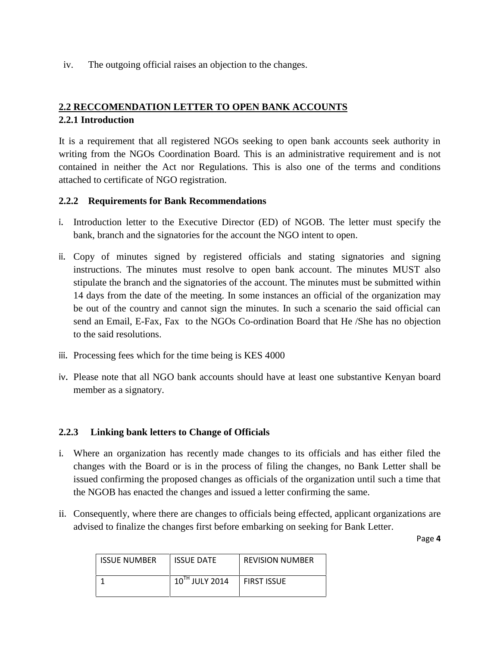iv. The outgoing official raises an objection to the changes.

# **2.2 RECCOMENDATION LETTER TO OPEN BANK ACCOUNTS 2.2.1 Introduction**

It is a requirement that all registered NGOs seeking to open bank accounts seek authority in writing from the NGOs Coordination Board. This is an administrative requirement and is not contained in neither the Act nor Regulations. This is also one of the terms and conditions attached to certificate of NGO registration.

#### **2.2.2 Requirements for Bank Recommendations**

- i. Introduction letter to the Executive Director (ED) of NGOB. The letter must specify the bank, branch and the signatories for the account the NGO intent to open.
- ii. Copy of minutes signed by registered officials and stating signatories and signing instructions. The minutes must resolve to open bank account. The minutes MUST also stipulate the branch and the signatories of the account. The minutes must be submitted within 14 days from the date of the meeting. In some instances an official of the organization may be out of the country and cannot sign the minutes. In such a scenario the said official can send an Email, E-Fax, Fax to the NGOs Co-ordination Board that He /She has no objection to the said resolutions.
- iii. Processing fees which for the time being is KES 4000
- iv. Please note that all NGO bank accounts should have at least one substantive Kenyan board member as a signatory.

#### **2.2.3 Linking bank letters to Change of Officials**

- i. Where an organization has recently made changes to its officials and has either filed the changes with the Board or is in the process of filing the changes, no Bank Letter shall be issued confirming the proposed changes as officials of the organization until such a time that the NGOB has enacted the changes and issued a letter confirming the same.
- ii. Consequently, where there are changes to officials being effected, applicant organizations are advised to finalize the changes first before embarking on seeking for Bank Letter.

| <b>ISSUE NUMBER</b> | <b>ISSUE DATE</b> | <b>REVISION NUMBER</b> |
|---------------------|-------------------|------------------------|
|                     | 10TH JULY 2014    | <b>FIRST ISSUE</b>     |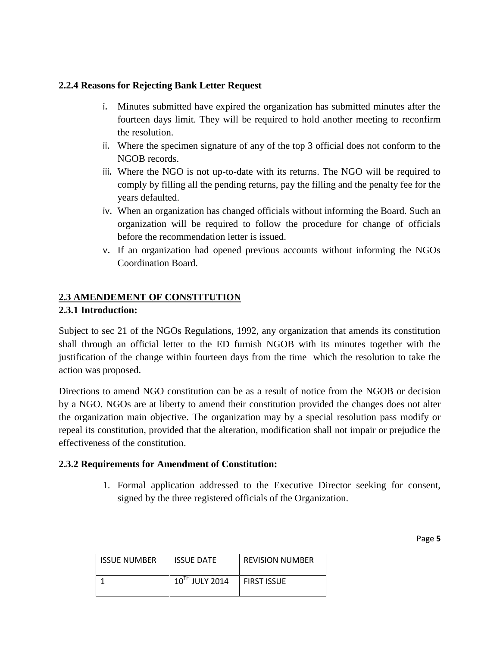#### **2.2.4 Reasons for Rejecting Bank Letter Request**

- i. Minutes submitted have expired the organization has submitted minutes after the fourteen days limit. They will be required to hold another meeting to reconfirm the resolution.
- ii. Where the specimen signature of any of the top 3 official does not conform to the NGOB records.
- iii. Where the NGO is not up-to-date with its returns. The NGO will be required to comply by filling all the pending returns, pay the filling and the penalty fee for the years defaulted.
- iv. When an organization has changed officials without informing the Board. Such an organization will be required to follow the procedure for change of officials before the recommendation letter is issued.
- v. If an organization had opened previous accounts without informing the NGOs Coordination Board.

## **2.3 AMENDEMENT OF CONSTITUTION**

#### **2.3.1 Introduction:**

Subject to sec 21 of the NGOs Regulations, 1992, any organization that amends its constitution shall through an official letter to the ED furnish NGOB with its minutes together with the justification of the change within fourteen days from the time which the resolution to take the action was proposed.

Directions to amend NGO constitution can be as a result of notice from the NGOB or decision by a NGO. NGOs are at liberty to amend their constitution provided the changes does not alter the organization main objective. The organization may by a special resolution pass modify or repeal its constitution, provided that the alteration, modification shall not impair or prejudice the effectiveness of the constitution.

#### **2.3.2 Requirements for Amendment of Constitution:**

1. Formal application addressed to the Executive Director seeking for consent, signed by the three registered officials of the Organization.

| <b>ISSUE NUMBER</b> | <b>ISSUE DATE</b> | <b>REVISION NUMBER</b> |
|---------------------|-------------------|------------------------|
|                     | 10TH JULY 2014    | FIRST ISSUE            |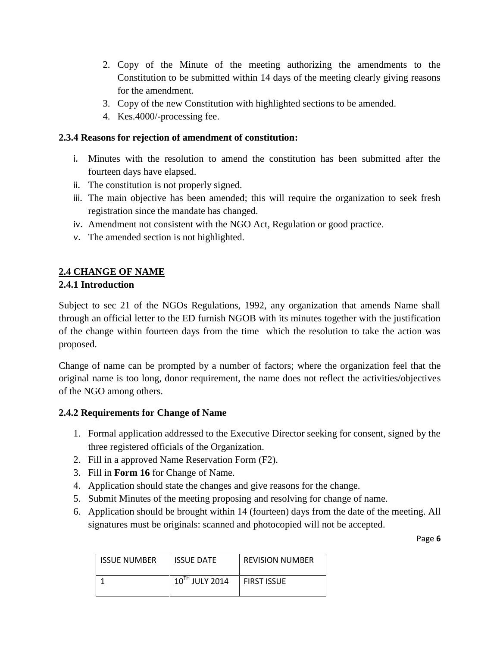- 2. Copy of the Minute of the meeting authorizing the amendments to the Constitution to be submitted within 14 days of the meeting clearly giving reasons for the amendment.
- 3. Copy of the new Constitution with highlighted sections to be amended.
- 4. Kes.4000/-processing fee.

#### **2.3.4 Reasons for rejection of amendment of constitution:**

- i. Minutes with the resolution to amend the constitution has been submitted after the fourteen days have elapsed.
- ii. The constitution is not properly signed.
- iii. The main objective has been amended; this will require the organization to seek fresh registration since the mandate has changed.
- iv. Amendment not consistent with the NGO Act, Regulation or good practice.
- v. The amended section is not highlighted.

# **2.4 CHANGE OF NAME**

#### **2.4.1 Introduction**

Subject to sec 21 of the NGOs Regulations, 1992, any organization that amends Name shall through an official letter to the ED furnish NGOB with its minutes together with the justification of the change within fourteen days from the time which the resolution to take the action was proposed.

Change of name can be prompted by a number of factors; where the organization feel that the original name is too long, donor requirement, the name does not reflect the activities/objectives of the NGO among others.

#### **2.4.2 Requirements for Change of Name**

- 1. Formal application addressed to the Executive Director seeking for consent, signed by the three registered officials of the Organization.
- 2. Fill in a approved Name Reservation Form (F2).
- 3. Fill in **Form 16** for Change of Name.
- 4. Application should state the changes and give reasons for the change.
- 5. Submit Minutes of the meeting proposing and resolving for change of name.
- 6. Application should be brought within 14 (fourteen) days from the date of the meeting. All signatures must be originals: scanned and photocopied will not be accepted.

| <b>ISSUE NUMBER</b> | <b>ISSUE DATE</b> | <b>REVISION NUMBER</b> |
|---------------------|-------------------|------------------------|
|                     | 10TH JULY 2014    | <b>FIRST ISSUE</b>     |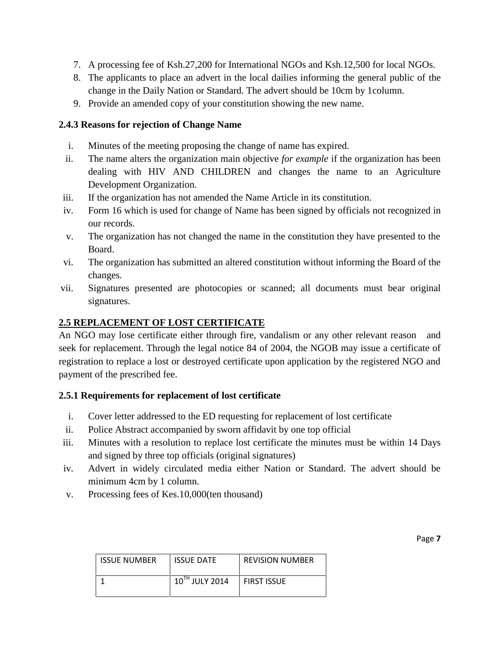- 7. A processing fee of Ksh.27,200 for International NGOs and Ksh.12,500 for local NGOs.
- 8. The applicants to place an advert in the local dailies informing the general public of the change in the Daily Nation or Standard. The advert should be 10cm by 1column.
- 9. Provide an amended copy of your constitution showing the new name.

#### **2.4.3 Reasons for rejection of Change Name**

- i. Minutes of the meeting proposing the change of name has expired.
- ii. The name alters the organization main objective *for example* if the organization has been dealing with HIV AND CHILDREN and changes the name to an Agriculture Development Organization.
- iii. If the organization has not amended the Name Article in its constitution.
- iv. Form 16 which is used for change of Name has been signed by officials not recognized in our records.
- v. The organization has not changed the name in the constitution they have presented to the Board.
- vi. The organization has submitted an altered constitution without informing the Board of the changes.
- vii. Signatures presented are photocopies or scanned; all documents must bear original signatures.

#### **2.5 REPLACEMENT OF LOST CERTIFICATE**

An NGO may lose certificate either through fire, vandalism or any other relevant reason and seek for replacement. Through the legal notice 84 of 2004, the NGOB may issue a certificate of registration to replace a lost or destroyed certificate upon application by the registered NGO and payment of the prescribed fee.

#### **2.5.1 Requirements for replacement of lost certificate**

- i. Cover letter addressed to the ED requesting for replacement of lost certificate
- ii. Police Abstract accompanied by sworn affidavit by one top official
- iii. Minutes with a resolution to replace lost certificate the minutes must be within 14 Days and signed by three top officials (original signatures)
- iv. Advert in widely circulated media either Nation or Standard. The advert should be minimum 4cm by 1 column.
- v. Processing fees of Kes.10,000(ten thousand)

| <b>ISSUE NUMBER</b> | <b>ISSUE DATE</b>   | <b>REVISION NUMBER</b> |
|---------------------|---------------------|------------------------|
|                     | $10^{TH}$ JULY 2014 | <b>FIRST ISSUE</b>     |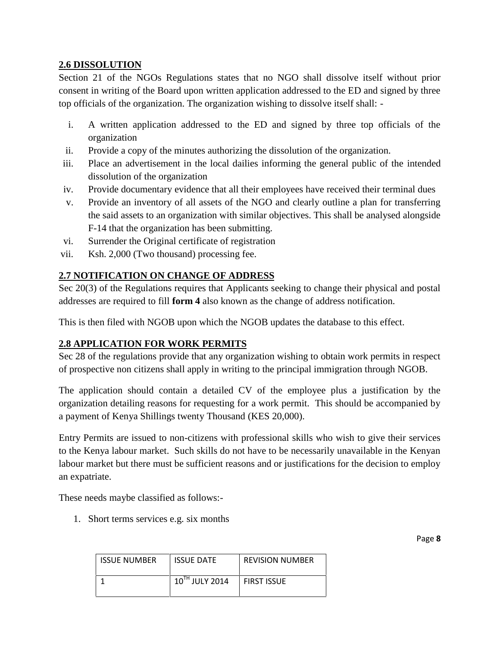## **2.6 DISSOLUTION**

Section 21 of the NGOs Regulations states that no NGO shall dissolve itself without prior consent in writing of the Board upon written application addressed to the ED and signed by three top officials of the organization. The organization wishing to dissolve itself shall: -

- i. A written application addressed to the ED and signed by three top officials of the organization
- ii. Provide a copy of the minutes authorizing the dissolution of the organization.
- iii. Place an advertisement in the local dailies informing the general public of the intended dissolution of the organization
- iv. Provide documentary evidence that all their employees have received their terminal dues
- v. Provide an inventory of all assets of the NGO and clearly outline a plan for transferring the said assets to an organization with similar objectives. This shall be analysed alongside F-14 that the organization has been submitting.
- vi. Surrender the Original certificate of registration
- vii. Ksh. 2,000 (Two thousand) processing fee.

## **2.7 NOTIFICATION ON CHANGE OF ADDRESS**

Sec 20(3) of the Regulations requires that Applicants seeking to change their physical and postal addresses are required to fill **form 4** also known as the change of address notification.

This is then filed with NGOB upon which the NGOB updates the database to this effect.

#### **2.8 APPLICATION FOR WORK PERMITS**

Sec 28 of the regulations provide that any organization wishing to obtain work permits in respect of prospective non citizens shall apply in writing to the principal immigration through NGOB.

The application should contain a detailed CV of the employee plus a justification by the organization detailing reasons for requesting for a work permit. This should be accompanied by a payment of Kenya Shillings twenty Thousand (KES 20,000).

Entry Permits are issued to non-citizens with professional skills who wish to give their services to the Kenya labour market. Such skills do not have to be necessarily unavailable in the Kenyan labour market but there must be sufficient reasons and or justifications for the decision to employ an expatriate.

These needs maybe classified as follows:-

1. Short terms services e.g. six months

| <b>ISSUE NUMBER</b> | <b>ISSUE DATE</b>   | <b>REVISION NUMBER</b> |
|---------------------|---------------------|------------------------|
|                     | $10^{TH}$ JULY 2014 | <b>FIRST ISSUE</b>     |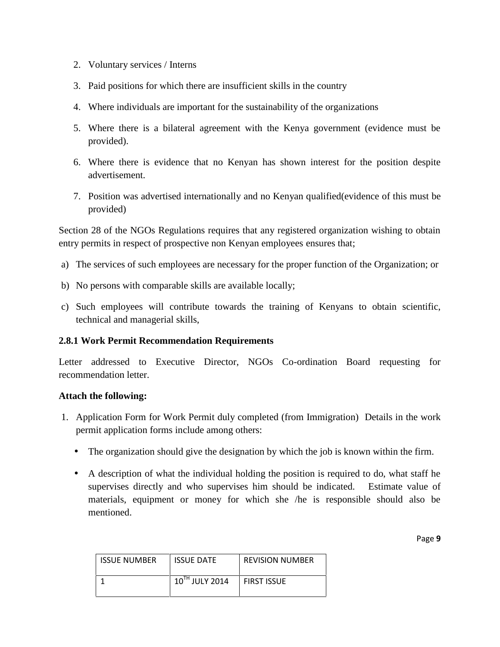- 2. Voluntary services / Interns
- 3. Paid positions for which there are insufficient skills in the country
- 4. Where individuals are important for the sustainability of the organizations
- 5. Where there is a bilateral agreement with the Kenya government (evidence must be provided).
- 6. Where there is evidence that no Kenyan has shown interest for the position despite advertisement.
- 7. Position was advertised internationally and no Kenyan qualified(evidence of this must be provided)

Section 28 of the NGOs Regulations requires that any registered organization wishing to obtain entry permits in respect of prospective non Kenyan employees ensures that;

- a) The services of such employees are necessary for the proper function of the Organization; or
- b) No persons with comparable skills are available locally;
- c) Such employees will contribute towards the training of Kenyans to obtain scientific, technical and managerial skills,

#### **2.8.1 Work Permit Recommendation Requirements**

Letter addressed to Executive Director, NGOs Co-ordination Board requesting for recommendation letter.

#### **Attach the following:**

- 1. Application Form for Work Permit duly completed (from Immigration) Details in the work permit application forms include among others:
	- The organization should give the designation by which the job is known within the firm.
	- A description of what the individual holding the position is required to do, what staff he supervises directly and who supervises him should be indicated. Estimate value of materials, equipment or money for which she /he is responsible should also be mentioned.

| <b>ISSUE NUMBER</b> | <b>ISSUE DATE</b> | <b>REVISION NUMBER</b> |
|---------------------|-------------------|------------------------|
|                     | 10TH JULY 2014    | FIRST ISSUE            |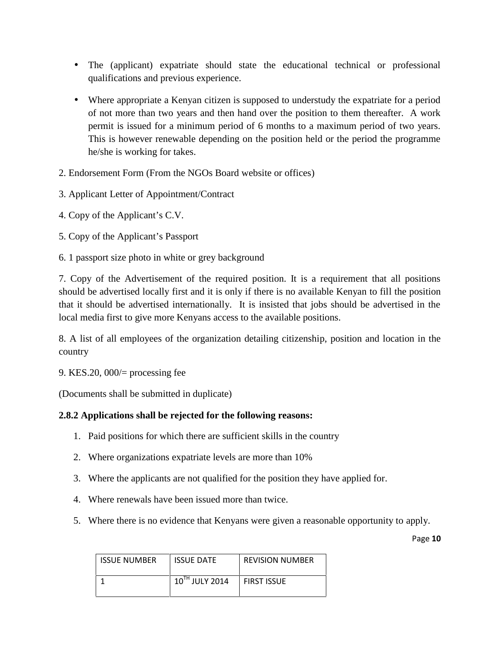- The (applicant) expatriate should state the educational technical or professional qualifications and previous experience.
- Where appropriate a Kenyan citizen is supposed to understudy the expatriate for a period of not more than two years and then hand over the position to them thereafter. A work permit is issued for a minimum period of 6 months to a maximum period of two years. This is however renewable depending on the position held or the period the programme he/she is working for takes.
- 2. Endorsement Form (From the NGOs Board website or offices)
- 3. Applicant Letter of Appointment/Contract
- 4. Copy of the Applicant's C.V.
- 5. Copy of the Applicant's Passport
- 6. 1 passport size photo in white or grey background

7. Copy of the Advertisement of the required position. It is a requirement that all positions should be advertised locally first and it is only if there is no available Kenyan to fill the position that it should be advertised internationally. It is insisted that jobs should be advertised in the local media first to give more Kenyans access to the available positions.

8. A list of all employees of the organization detailing citizenship, position and location in the country

9. KES.20, 000/= processing fee

(Documents shall be submitted in duplicate)

#### **2.8.2 Applications shall be rejected for the following reasons:**

- 1. Paid positions for which there are sufficient skills in the country
- 2. Where organizations expatriate levels are more than 10%
- 3. Where the applicants are not qualified for the position they have applied for.
- 4. Where renewals have been issued more than twice.
- 5. Where there is no evidence that Kenyans were given a reasonable opportunity to apply.

| <b>ISSUE NUMBER</b> | <b>ISSUE DATE</b> | <b>REVISION NUMBER</b> |
|---------------------|-------------------|------------------------|
|                     | 10TH JULY 2014    | <b>FIRST ISSUE</b>     |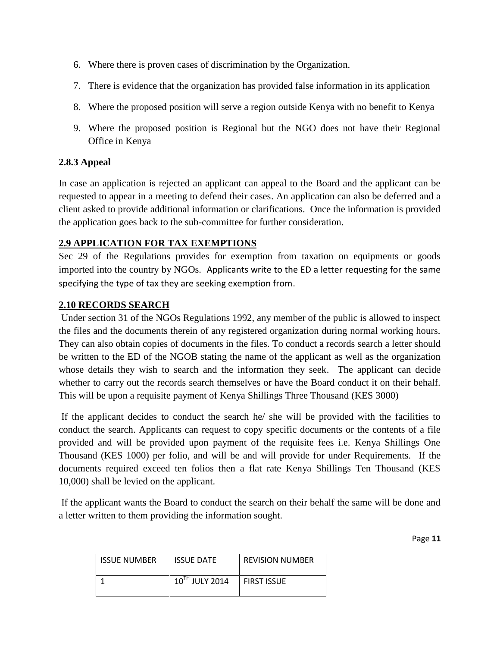- 6. Where there is proven cases of discrimination by the Organization.
- 7. There is evidence that the organization has provided false information in its application
- 8. Where the proposed position will serve a region outside Kenya with no benefit to Kenya
- 9. Where the proposed position is Regional but the NGO does not have their Regional Office in Kenya

#### **2.8.3 Appeal**

In case an application is rejected an applicant can appeal to the Board and the applicant can be requested to appear in a meeting to defend their cases. An application can also be deferred and a client asked to provide additional information or clarifications. Once the information is provided the application goes back to the sub-committee for further consideration.

# **2.9 APPLICATION FOR TAX EXEMPTIONS**

Sec 29 of the Regulations provides for exemption from taxation on equipments or goods imported into the country by NGOs. Applicants write to the ED a letter requesting for the same specifying the type of tax they are seeking exemption from.

## **2.10 RECORDS SEARCH**

Under section 31 of the NGOs Regulations 1992, any member of the public is allowed to inspect the files and the documents therein of any registered organization during normal working hours. They can also obtain copies of documents in the files. To conduct a records search a letter should be written to the ED of the NGOB stating the name of the applicant as well as the organization whose details they wish to search and the information they seek. The applicant can decide whether to carry out the records search themselves or have the Board conduct it on their behalf. This will be upon a requisite payment of Kenya Shillings Three Thousand (KES 3000)

If the applicant decides to conduct the search he/ she will be provided with the facilities to conduct the search. Applicants can request to copy specific documents or the contents of a file provided and will be provided upon payment of the requisite fees i.e. Kenya Shillings One Thousand (KES 1000) per folio, and will be and will provide for under Requirements. If the documents required exceed ten folios then a flat rate Kenya Shillings Ten Thousand (KES 10,000) shall be levied on the applicant.

If the applicant wants the Board to conduct the search on their behalf the same will be done and a letter written to them providing the information sought.

| <b>ISSUE NUMBER</b> | <b>ISSUE DATE</b> | <b>REVISION NUMBER</b> |
|---------------------|-------------------|------------------------|
|                     | 10TH JULY 2014    | <b>FIRST ISSUE</b>     |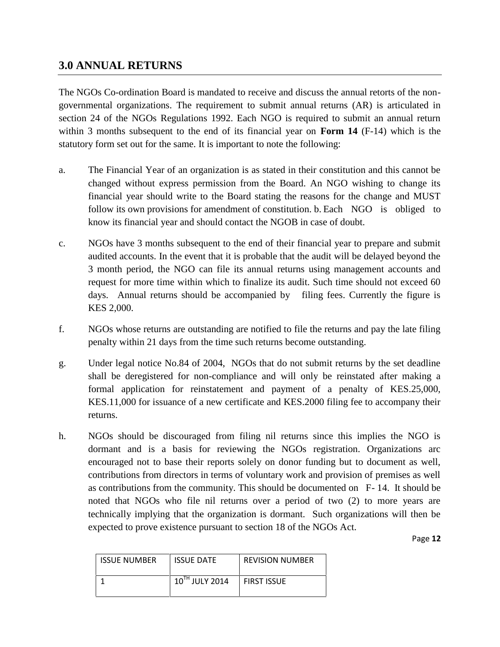# **3.0 ANNUAL RETURNS**

The NGOs Co-ordination Board is mandated to receive and discuss the annual retorts of the non governmental organizations. The requirement to submit annual returns (AR) is articulated in section 24 of the NGOs Regulations 1992. Each NGO is required to submit an annual return within 3 months subsequent to the end of its financial year on **Form 14** (F-14) which is the statutory form set out for the same. It is important to note the following:

- a. The Financial Year of an organization is as stated in their constitution and this cannot be changed without express permission from the Board. An NGO wishing to change its financial year should write to the Board stating the reasons for the change and MUST follow its own provisions for amendment of constitution. b. Each NGO is obliged to know its financial year and should contact the NGOB in case of doubt.
- c. NGOs have 3 months subsequent to the end of their financial year to prepare and submit audited accounts. In the event that it is probable that the audit will be delayed beyond the 3 month period, the NGO can file its annual returns using management accounts and request for more time within which to finalize its audit. Such time should not exceed 60 days. Annual returns should be accompanied by filing fees. Currently the figure is KES 2,000.
- f. NGOs whose returns are outstanding are notified to file the returns and pay the late filing penalty within 21 days from the time such returns become outstanding.
- g. Under legal notice No.84 of 2004, NGOs that do not submit returns by the set deadline shall be deregistered for non-compliance and will only be reinstated after making a formal application for reinstatement and payment of a penalty of KES.25,000, KES.11,000 for issuance of a new certificate and KES.2000 filing fee to accompany their returns.
- h. NGOs should be discouraged from filing nil returns since this implies the NGO is dormant and is a basis for reviewing the NGOs registration. Organizations arc encouraged not to base their reports solely on donor funding but to document as well, contributions from directors in terms of voluntary work and provision of premises as well as contributions from the community. This should be documented on F- 14. It should be noted that NGOs who file nil returns over a period of two (2) to more years are technically implying that the organization is dormant. Such organizations will then be expected to prove existence pursuant to section 18 of the NGOs Act.

| <b>ISSUE NUMBER</b> | <b>ISSUE DATE</b> | <b>REVISION NUMBER</b> |
|---------------------|-------------------|------------------------|
|                     | 10TH JULY 2014    | <b>FIRST ISSUE</b>     |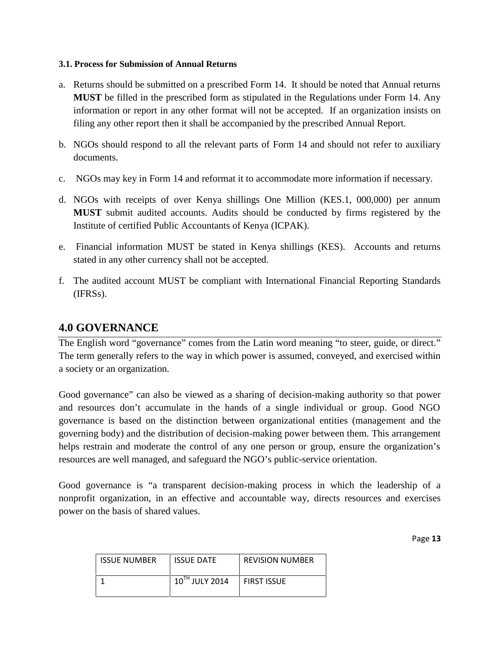#### **3.1. Process for Submission of Annual Returns**

- a. Returns should be submitted on a prescribed Form 14. It should be noted that Annual returns **MUST** be filled in the prescribed form as stipulated in the Regulations under Form 14. Any information or report in any other format will not be accepted. If an organization insists on filing any other report then it shall be accompanied by the prescribed Annual Report.
- b. NGOs should respond to all the relevant parts of Form 14 and should not refer to auxiliary documents.
- c. NGOs may key in Form 14 and reformat it to accommodate more information if necessary.
- d. NGOs with receipts of over Kenya shillings One Million (KES.1, 000,000) per annum **MUST** submit audited accounts. Audits should be conducted by firms registered by the Institute of certified Public Accountants of Kenya (ICPAK).
- e. Financial information MUST be stated in Kenya shillings (KES). Accounts and returns stated in any other currency shall not be accepted.
- f. The audited account MUST be compliant with International Financial Reporting Standards (IFRSs).

# **4.0 GOVERNANCE**

The English word "governance" comes from the Latin word meaning "to steer, guide, or direct." The term generally refers to the way in which power is assumed, conveyed, and exercised within a society or an organization.

Good governance" can also be viewed as a sharing of decision-making authority so that power and resources don't accumulate in the hands of a single individual or group. Good NGO governance is based on the distinction between organizational entities (management and the governing body) and the distribution of decision-making power between them. This arrangement helps restrain and moderate the control of any one person or group, ensure the organization's resources are well managed, and safeguard the NGO's public-service orientation.

Good governance is "a transparent decision-making process in which the leadership of a nonprofit organization, in an effective and accountable way, directs resources and exercises power on the basis of shared values.

| <b>ISSUE NUMBER</b> | <b>ISSUE DATE</b>   | <b>REVISION NUMBER</b> |
|---------------------|---------------------|------------------------|
|                     | $10^{TH}$ JULY 2014 | <b>FIRST ISSUE</b>     |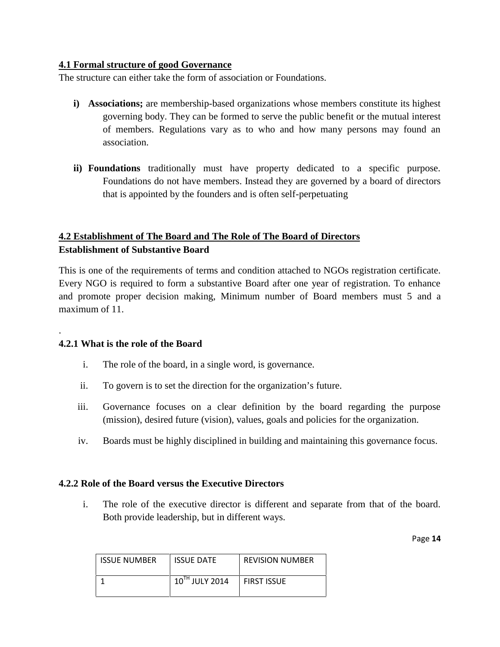#### **4.1 Formal structure of good Governance**

The structure can either take the form of association or Foundations.

- **i) Associations;** are membership-based organizations whose members constitute its highest governing body. They can be formed to serve the public benefit or the mutual interest of members. Regulations vary as to who and how many persons may found an association.
- **ii) Foundations** traditionally must have property dedicated to a specific purpose. Foundations do not have members. Instead they are governed by a board of directors that is appointed by the founders and is often self-perpetuating

# **4.2 Establishment of The Board and The Role of The Board of Directors Establishment of Substantive Board**

This is one of the requirements of terms and condition attached to NGOs registration certificate. Every NGO is required to form a substantive Board after one year of registration. To enhance and promote proper decision making, Minimum number of Board members must 5 and a maximum of 11.

#### **4.2.1 What is the role of the Board**

.

- i. The role of the board, in a single word, is governance.
- ii. To govern is to set the direction for the organization's future.
- iii. Governance focuses on a clear definition by the board regarding the purpose (mission), desired future (vision), values, goals and policies for the organization.
- iv. Boards must be highly disciplined in building and maintaining this governance focus.

#### **4.2.2 Role of the Board versus the Executive Directors**

i. The role of the executive director is different and separate from that of the board. Both provide leadership, but in different ways.

| <b>ISSUE NUMBER</b> | <b>ISSUE DATE</b>   | <b>REVISION NUMBER</b> |
|---------------------|---------------------|------------------------|
|                     | $10^{TH}$ JULY 2014 | <b>FIRST ISSUE</b>     |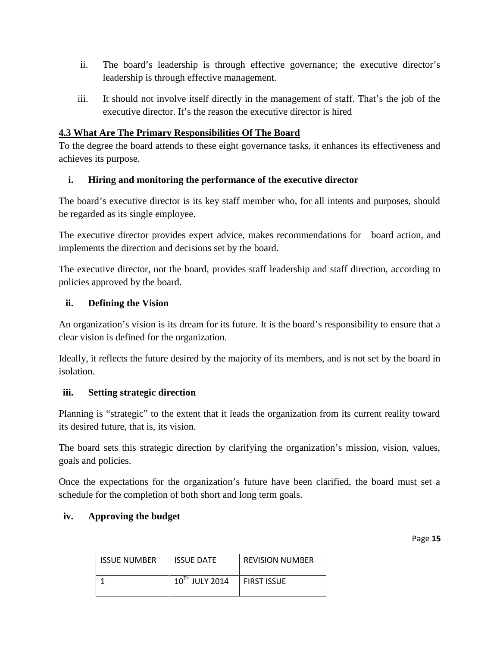- ii. The board's leadership is through effective governance; the executive director's leadership is through effective management.
- iii. It should not involve itself directly in the management of staff. That's the job of the executive director. It's the reason the executive director is hired

### **4.3 What Are The Primary Responsibilities Of The Board**

To the degree the board attends to these eight governance tasks, it enhances its effectiveness and achieves its purpose.

## **i. Hiring and monitoring the performance of the executive director**

The board's executive director is its key staff member who, for all intents and purposes, should be regarded as its single employee.

The executive director provides expert advice, makes recommendations for board action, and implements the direction and decisions set by the board.

The executive director, not the board, provides staff leadership and staff direction, according to policies approved by the board.

#### **ii. Defining the Vision**

An organization's vision is its dream for its future. It is the board's responsibility to ensure that a clear vision is defined for the organization.

Ideally, it reflects the future desired by the majority of its members, and is not set by the board in isolation.

#### **iii. Setting strategic direction**

Planning is "strategic" to the extent that it leads the organization from its current reality toward its desired future, that is, its vision.

The board sets this strategic direction by clarifying the organization's mission, vision, values, goals and policies.

Once the expectations for the organization's future have been clarified, the board must set a schedule for the completion of both short and long term goals.

#### **iv. Approving the budget**

ISSUE NUMBER | ISSUE DATE | REVISION NUMBER  $10^{TH}$  JULY 2014 FIRST ISSUE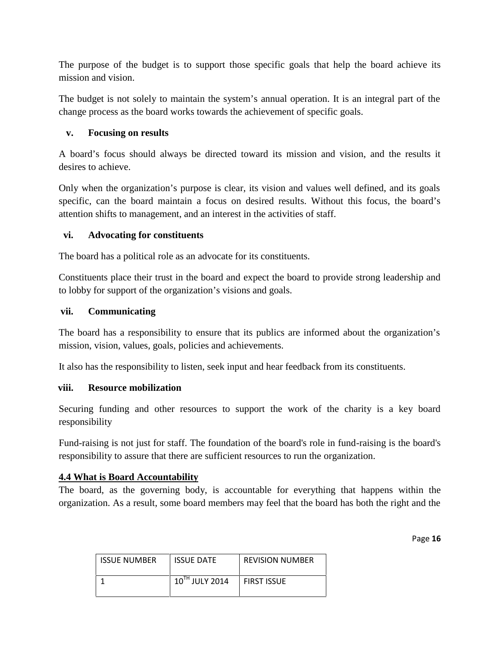The purpose of the budget is to support those specific goals that help the board achieve its mission and vision.

The budget is not solely to maintain the system's annual operation. It is an integral part of the change process as the board works towards the achievement of specific goals.

#### **v. Focusing on results**

A board's focus should always be directed toward its mission and vision, and the results it desires to achieve.

Only when the organization's purpose is clear, its vision and values well defined, and its goals specific, can the board maintain a focus on desired results. Without this focus, the board's attention shifts to management, and an interest in the activities of staff.

#### **vi. Advocating for constituents**

The board has a political role as an advocate for its constituents.

Constituents place their trust in the board and expect the board to provide strong leadership and to lobby for support of the organization's visions and goals.

#### **vii. Communicating**

The board has a responsibility to ensure that its publics are informed about the organization's mission, vision, values, goals, policies and achievements.

It also has the responsibility to listen, seek input and hear feedback from its constituents.

#### **viii. Resource mobilization**

Securing funding and other resources to support the work of the charity is a key board responsibility

Fund-raising is not just for staff. The foundation of the board's role in fund-raising is the board's responsibility to assure that there are sufficient resources to run the organization.

#### **4.4 What is Board Accountability**

The board, as the governing body, is accountable for everything that happens within the organization. As a result, some board members may feel that the board has both the right and the

| <b>ISSUE NUMBER</b> | <b>ISSUE DATE</b> | <b>REVISION NUMBER</b> |
|---------------------|-------------------|------------------------|
|                     | 10TH JULY 2014    | <b>FIRST ISSUE</b>     |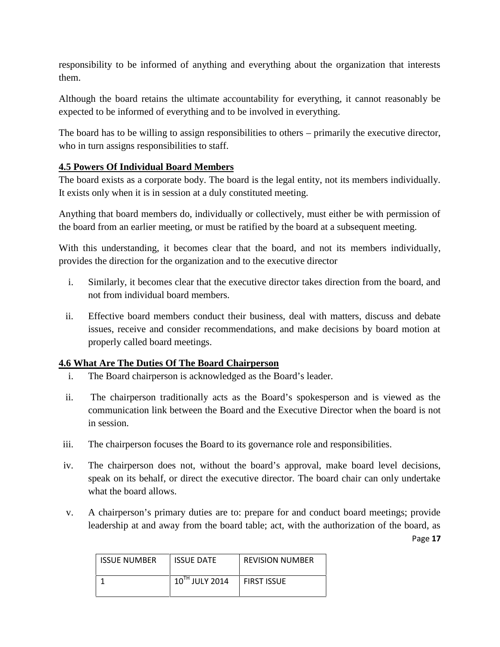responsibility to be informed of anything and everything about the organization that interests them.

Although the board retains the ultimate accountability for everything, it cannot reasonably be expected to be informed of everything and to be involved in everything.

The board has to be willing to assign responsibilities to others – primarily the executive director, who in turn assigns responsibilities to staff.

## **4.5 Powers Of Individual Board Members**

The board exists as a corporate body. The board is the legal entity, not its members individually. It exists only when it is in session at a duly constituted meeting.

Anything that board members do, individually or collectively, must either be with permission of the board from an earlier meeting, or must be ratified by the board at a subsequent meeting.

With this understanding, it becomes clear that the board, and not its members individually, provides the direction for the organization and to the executive director

- i. Similarly, it becomes clear that the executive director takes direction from the board, and not from individual board members.
- ii. Effective board members conduct their business, deal with matters, discuss and debate issues, receive and consider recommendations, and make decisions by board motion at properly called board meetings.

#### **4.6 What Are The Duties Of The Board Chairperson**

- i. The Board chairperson is acknowledged as the Board's leader.
- ii. The chairperson traditionally acts as the Board's spokesperson and is viewed as the communication link between the Board and the Executive Director when the board is not in session.
- iii. The chairperson focuses the Board to its governance role and responsibilities.
- iv. The chairperson does not, without the board's approval, make board level decisions, speak on its behalf, or direct the executive director. The board chair can only undertake what the board allows.
- Page **17** v. A chairperson's primary duties are to: prepare for and conduct board meetings; provide leadership at and away from the board table; act, with the authorization of the board, as

| <b>ISSUE NUMBER</b> | <b>ISSUE DATE</b> | <b>REVISION NUMBER</b> |
|---------------------|-------------------|------------------------|
|                     | 10TH JULY 2014    | <b>FIRST ISSUE</b>     |